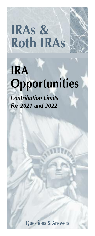# **IRAs & Roth IRAs**

# **IRA Opportunities**

*Contribution Limits For 2021 and 2022*

**Questions & Answers**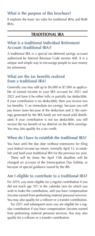# **What is the purpose of this brochure?**

It explains the basic tax rules for traditional IRAs and Roth IRAs.

# **TRADITIONAL IRA**

# **What is a traditional Individual Retirement Account (traditional IRA)?**

A traditional IRA is a special tax-deferred savings account authorized by Internal Revenue Code section 408. It is a unique and simple way to encourage people to save money for retirement.

#### **What are the tax benefits realized from a traditional IRA?**

Generally you may add up to \$6,000 or \$7,000 as applicable of earned income to your IRA account for 2021 and 2022 and have it be either fully or partially tax deductible. If your contribution is tax deductible, then you receive two tax benefits: 1) an immediate tax savings, because you will pay fewer taxes because of the deduction and 2) the earnings generated by the IRA funds are not taxed until distributed. If your contribution is not tax deductible, you still receive the tax benefit of tax deferral on the IRA's earnings. You may also qualify for a tax credit.

# **When do I have to establish the traditional IRA?**

You have until the due date (without extensions) for filing your federal income tax return, normally April 15, to establish and fund your traditional IRA for the previous tax year.

 There will be times the April 15th deadline will be changed on account of the Emancipation Day holiday or because of special guidance issued by the IRS.

# **Am I eligible to contribute to a traditional IRA?**

For 2019, you were eligible for a regular contribution if you did not reach age  $70\frac{1}{2}$  in the calendar year for which you wish to make the contribution, and you have compensation (income earned from performing material personal services). You may also qualify for a rollover or a transfer contribution.

 For 2021 and subsequent years you are eligible for a regular contribution if you have compensation (income earned from performing material personal services). You may also qualify for a rollover or a transfer contribution.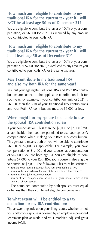#### **How much am I eligible to contribute to my traditional IRA for the current tax year if I will NOT be at least age 50 as of December 31?**

You are eligible to contribute the lesser of 100% of your compensation, or \$6,000 for 2021, as reduced by any amount you contributed to your Roth IRA.

# **How much am I eligible to contribute to my traditional IRA for the current tax year if I will be at least age 50 as of December 31?**

You are eligible to contribute the lesser of 100% of your compensation, or \$7,000 for 2022, as reduced by any amount you contributed to your Roth IRA for the same tax year.

# **May I contribute to my traditional IRA and also my Roth IRA for the same year?**

Yes, but your aggregate traditional IRA and Roth IRA contributions are subject to the applicable contribution limit for such year. For example, if your contribution limit for 2021 is \$6,000, then the sum of your traditional IRA contributions and your Roth IRA contributions must be \$6,000 or less.

# **When might I or my spouse be eligible to use the spousal IRA contribution rules?**

If your compensation is less than the \$6,000 or \$7,000 limit, as applicable, then you are permitted to use your spouse's compensation when making your Roth IRA contribution. This generally means both of you will be able to contribute \$6,000 or \$7,000 as applicable. For example, you have compensation of \$1,400 and your spouse has compensation of \$42,000. You are both age 54. You are eligible to contribute \$7,000 to your Roth IRA. Your spouse is also eligible to contribute \$7,000. The following rules must be satisfied:

- You and your spouse must each have your own traditional IRA.
- You must be married as of the end of the tax year (i.e. December 31).
- You must file a joint income tax return.
- You must have compensation includible in gross income which is less than that of your spouse.

 The combined contribution by both spouses must equal or be less than their combined eligible compensation.

#### **To what extent will I be entitled to a tax deduction for my IRA contribution?**

The answer depends upon your filing status, whether or not you and/or your spouse is covered by an employer-sponsored retirement plan at work, and your modified adjusted gross income (AGI).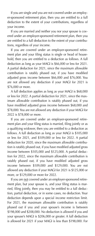If you are single and you are not covered under an employer-sponsored retirement plan, then you are entitled to a full deduction to the extent of your contributions, regardless of your income.

 If you are married and neither you nor your spouse is covered under an employer-sponsored retirement plan, then you are entitled to a full deduction to the extent of your contributions, regardless of your income.

 If you are covered under an employer-sponsored retirement plan and your filing status is single or head of household, then you are entitled to a deduction as follows. A full deduction as long as your MAGI is \$66,000 or less for 2021. A partial deduction for 2021, since the maximum allowable contribution is ratably phased out, if you have modified adjusted gross income between \$66,000 and \$76,000. You are not allowed any deduction if your MAGI for 2021 is \$76,000 or more.

 A full deduction applies as long as your MAGI is \$68,000 or less for 2022. A partial deduction for 2021, since the maximum allowable contribution is ratably phased out, if you have modified adjusted gross income between \$68,000 and \$78,000. You are not allowed any deduction if your MAGI for 2022 is \$78,000 or more.

 If you are covered under an employer-sponsored retirement plan and your filing status is married, filing jointly or as a qualifying widower, then you are entitled to a deduction as follows. A full deduction as long as your MAGI is \$105,000 or less for 2021, and \$109,000 or less for 2022. A partial deduction for 2020, since the maximum allowable contribution is ratably phased out, if you have modified adjusted gross income between \$105,000 and \$125,000. A partial deduction for 2022, since the maximum allowable contribution is ratably phased out, if you have modified adjusted gross income between \$109,000 and \$129,000. You are not allowed any deduction if your MAGI for 2021 is \$125,000 or more, or \$129,000 or more for 2022.

 If you are not covered under an employer-sponsored retirement plan, but your spouse is, and your filing status is married, filing jointly, then you may be entitled to a full deduction, partial deduction, or in some cases, no deduction. Your deduction depends upon a special income restriction limit. For 2021, the maximum allowable contribution is ratably phased out if you and your spouse's income is between \$198,000 and \$208,000. No deduction is allowed if you and your spouse's MAGI is \$206,000 or greater. A full deduction is allowed for 2021 if your MAGI is less than \$198,000. For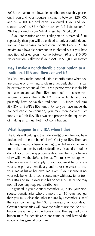2022, the maximum allowable contribution is ratably phased out if you and your spouse's income is between \$204,000 and \$214,000. No deduction is allowed if you and your spouse's MAGI is \$214,000 or greater. A full deduction for 2022 is allowed if your MAGI is less than \$204,000.

 If you are married and your filing status is married, filing separately, then you will be entitled to only a partial deduction, or in some cases, no deduction. For 2021 and 2022, the maximum allowable contribution is phased out if you have modified adjusted gross income between \$0 and \$10,000. No deduction is allowed if your MAGI is \$10,000 or greater.

#### **May I make a nondeductible contribution to a traditional IRA and then convert it?**

Yes. You may make nondeductible contributions when you are unable or unwilling to claim a tax deduction. This can be extremely beneficial if you are a person who is ineligible to make an annual Roth IRA contribution because your income exceeds the Roth IRA income limits and you presently have no taxable traditional IRA funds including SEP-IRA or SIMPLE-IRA funds. Once you have made the nondeductible contribution, you may then convert such funds to a Roth IRA. This two step process is the equivalent of making an annual Roth IRA contribution.

# **What happens to my IRA when I die?**

The funds will belong to the individual(s) or entities you have designated to be the beneficiary(ies) of your IRA. There are rules requiring your beneficiary(ies) to withdraw certain minimum distributions by various deadlines. If such distributions do not occur by the appropriate deadline, then your beneficiary will owe the 50% excise tax. The rules which apply to a beneficiary will not apply to your spouse if he or she is your sole primary beneficiary and he or she elects to treat your IRA as his or her own IRA. Even if your spouse is not your sole beneficiary, your spouse may withdraw funds from your IRA and roll it over into his or her IRA. He or she may not roll over any required distribution.

 In general, if you die after December 31, 2019, your Nonspouse beneficiaries who are more than 10 years younger than you must close the inherited IRA by December 31st of the year containing the 10th anniversary of your death. Certain beneficiaries will have the right to use the life distribution rule rather than the 10-year rule. The required distribution rules for beneficiaries are complex and beyond the scope of this general brochure.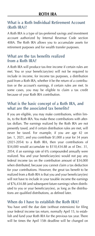# **What is a Roth Individual Retirement Account (Roth IRA)?**

A Roth IRA is a type of tax-preferred savings and investment account authorized by Internal Revenue Code section 408A. The Roth IRA allows you to accumulate assets for retirement purposes and for wealth transfer purposes.

#### **What are the tax benefits realized from a Roth IRA?**

A Roth IRA will produce tax-free income if certain rules are met. You or your beneficiary(ies) will not be required to include in income, for income tax purposes, a distribution paid from a Roth IRA, whether it be the return of a contribution or the account's earnings, if certain rules are met. In some cases, you may be eligible to claim a tax credit because of your Roth IRA contribution.

# **What is the basic concept of a Roth IRA, and what are the associated tax benefits?**

If you are eligible, you may make contributions, within limits, to the Roth IRA. You make these contributions with aftertax dollars. The earnings realized by the Roth IRA are not presently taxed, and if certain distribution rules are met, will never be taxed. For example, if you are age 42 on Jan. 1, 2021, and you contribute \$1,000 a year for 34 years (2021-2054) to a Roth IRA, then your contributions of \$34,000 would accumulate to \$110,434.88 as of Dec. 31, 2054, if an earnings rate of 6% compounded annually were realized. You and your beneficiary(ies) would not pay any federal income tax on the contribution amount of \$34,000 when distributed, because you cannot claim a tax deduction for your contributions. However, the great tax benefit to be realized from a Roth IRA is that you and your beneficiary(ies) will not have to include in your taxable income the earnings of \$76,434.88 (and subsequent future earnings) when distributed to you or your beneficiary(ies), as long as the distributions are qualified distributions, as defined later.

# **When do I have to establish the Roth IRA?**

You have until the due date (without extensions) for filing your federal income tax return, normally April 15, to establish and fund your Roth IRA for the previous tax year. There will be times the April 15th deadline will be changed on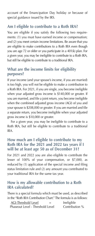account of the Emancipation Day holiday or because of special guidance issued by the IRS.

# **Am I eligible to contribute to a Roth IRA?**

You are eligible if you satisfy the following two requirements: (1) you must have earned income or compensation; and (2) you meet certain income limitations. Be aware that you are eligible to make contributions to a Roth IRA even though you are age 72 or older or you participate in a 401(k) plan. For a given year, you may be ineligible to contribute to a Roth IRA, but still be eligible to contribute to a traditional IRA.

# **What are the income limits for eligibility purposes?**

If your income (and your spouse's income, if you are married) is too high, you will not be eligible to make a contribution to a Roth IRA. For 2021, if you are single, you become ineligible when your adjusted gross income is \$140,000 or greater. If you are married, and file a joint return, you become ineligible when the combined adjusted gross income (AGI) of you and your spouse is \$208,000 or greater. If you are married and file a separate return, you become ineligible when your adjusted gross income is \$10,000 or greater.

 For a given year, you may be ineligible to contribute to a Roth IRA, but still be eligible to contribute to a traditional IRA.

#### **How much am I eligible to contribute to my Roth IRA for the 2021 and 2022 tax years if I will be at least age 50 as of December 31?**

For 2021 and 2022 you are also eligible to contribute the lesser of 100% of your compensation, or \$7,000, as reduced by (1) application of the special income and filing status limitation rule and (2) any amount you contributed to your traditional IRA for the same tax year.

#### **How is my allowable contribution to a Roth IRA calculated?**

There is a special formula which must be used, as described in the "Roth IRA Contribution Chart." The formula is as follows:

| <b>AGI-Threshold Level</b><br>$=$ | Ineligible     |
|-----------------------------------|----------------|
| Phaseout Level - Threshold Level  | Contribution % |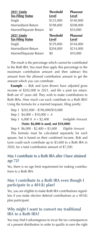| 2021 Limits<br><b>Tax-Filing Status</b> | <b>Threshold</b><br>Level | <b>Phaseout</b><br>Level |
|-----------------------------------------|---------------------------|--------------------------|
| Single                                  | \$125,000                 | \$140,000                |
| Married/Joint Return                    | \$198,000                 | \$208,000                |
| Married/Separate Return                 | \$0                       | \$10,000                 |
|                                         |                           |                          |
| 2021 Limits<br><b>Tax-Filing Status</b> | <b>Threshold</b><br>Level | <b>Phaseout</b><br>Level |
| Single                                  | \$129,000                 | \$144,000                |
| Married/Joint Return                    | \$204,000                 | \$214,000                |

 The result is the percentage which cannot be contributed to the Roth IRA. You must then apply this percentage to the maximum contribution amount and then subtract this amount from the allowed contribution amount to get the amount which you can contribute.

**Example** — Bob and Lynn Brown have adjusted gross income of \$202,000 in 2021, and file a joint tax return. Both are 47 years old. They wish to make contributions to Roth IRAs. How much can each contribute to a Roth IRA? Using the formula for a married taxpayer, filing jointly:

|                                       | Step 1 \$202,000 - \$196,000/\$10,000 |  |                   |  |
|---------------------------------------|---------------------------------------|--|-------------------|--|
|                                       | Step 2 $$4,000 \div $10,000 = .4$     |  |                   |  |
|                                       | Step 3 6,000 X $.4 = $2,400$          |  | Ineligible Amount |  |
| (Note: \$6,000 is used, not \$10,000) |                                       |  |                   |  |
|                                       | $C_1$ <i>A COO</i> COO COO COO FUUL A |  |                   |  |

Step 4 \$6,000 - \$2,400 = \$3,600 *Eligible Amount*

 This formula must be calculated separately for each spouse, but is based on their combined income. Bob and Lynn could each contribute up to \$3,600 to a Roth IRA in 2020, for a total contribution amount of \$7,200.

#### **May I contribute to a Roth IRA after I have attained age 72?**

Yes, there is no age limit requirement for making contributions to a Roth IRA.

# **May I contribute to a Roth IRA even though I participate in a 401(k) plan?**

Yes, you are eligible to make Roth IRA contributions regardless if you make elective deferral contributions as a 401(k) plan participant.

#### **Why might I want to convert my traditional IRA to a Roth IRA?**

You may find it advantageous to incur the tax consequences of a present distribution in order to qualify to earn the right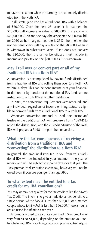to have no taxation when the earnings are ultimately distributed from the Roth IRA.

 To illustrate, Jane Roe has a traditional IRA with a balance of \$20,000. Over the next 25 years it is assumed the \$20,000 will increase in value to \$80,000. If she converts \$20,000 in 2020 and she pays the associated \$5,000 tax bill for 2020 as her marginal tax rate is 25%, then neither she nor her beneficiary will pay any tax on the \$80,000 when it is withdrawn in subsequent years. If she does not convert the \$20,000, then she or her beneficiary must include in income and pay tax on the \$80,000 as it is withdrawn.

#### **May I roll over or convert part or all of my traditional IRA to a Roth IRA?**

A conversion is accomplished by having funds distributed from a traditional IRA and rolling them over to a Roth IRA within 60 days. This can be done internally at your financial institution, or by transfer of the traditional IRA funds at one institution to a Roth IRA at another institution.

 In 2010, the conversion requirements were repealed, and any individual, regardless of income or filing status, is eligible to convert funds from a traditional IRA to a Roth IRA.

 Whatever conversion method is used, the custodian/ trustee of the traditional IRA will prepare a Form 1099-R to report the distribution, and the custodian/trustee of the Roth IRA will prepare a 5498 to report the conversion.

#### **What are the tax consequences of receiving a distribution from a traditional IRA and "converting" the distribution to a Roth IRA?**

In general, the amount distributed to you from your traditional IRA will be included in your income in the year of receipt and will be subject to income taxes for that year. The 10% premature distribution excise tax, however, will not be owed even if you are younger than age  $59\frac{1}{2}$ .

#### **To what extent may I be entitled to a tax credit for my IRA contributions?**

You may or may not qualify for the tax credit called the Saver's Tax Credit. The intent is to give an additional tax benefit to a single person whose MAGI is less than \$33,000 or a married couple whose joint MAGI is less than \$66,000. These amounts are adjusted for inflation each year.

 A formula is used to calculate your credit. Your credit may vary from \$1 to \$1,000, depending on the amount you contribute to your IRA, your filing status and your modified adjust